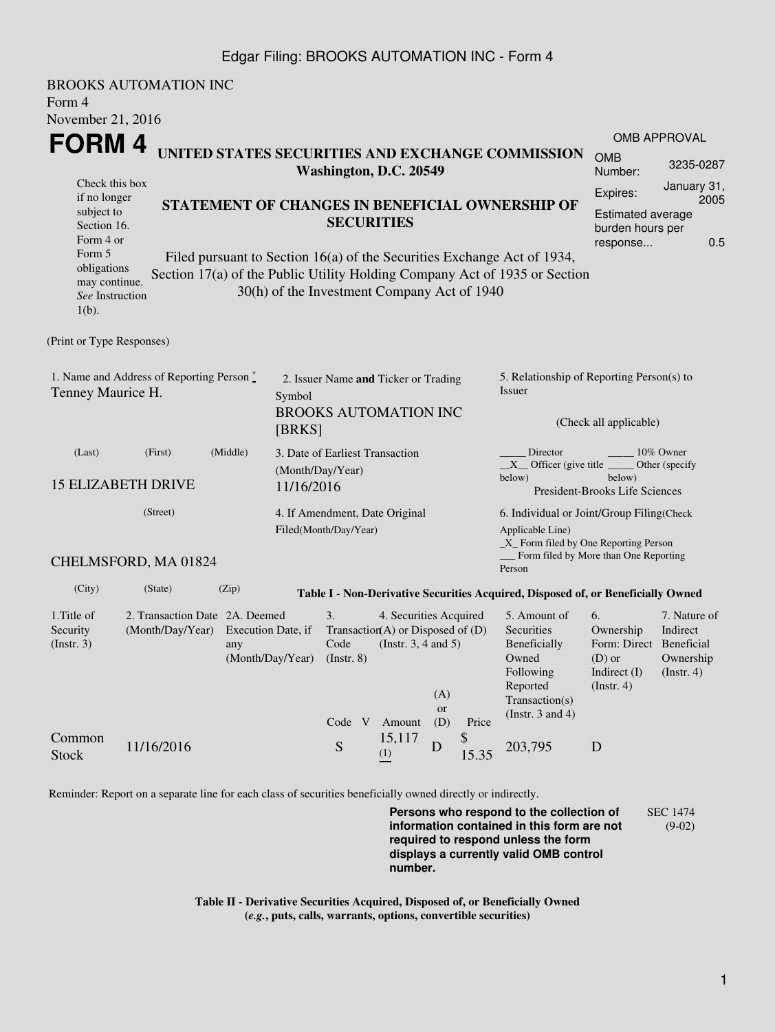## Edgar Filing: BROOKS AUTOMATION INC - Form 4

BROOKS AUTOMATION INC Form 4 November 21, 2016 **FORM 4** Check this box if no longer subject to Section 16. Form 4 or Form 5 obligations may continue. *See* Instruction  $1(h)$ . **UNITED STATES SECURITIES AND EXCHANGE COMMISSION Washington, D.C. 20549 STATEMENT OF CHANGES IN BENEFICIAL OWNERSHIP OF SECURITIES** Filed pursuant to Section 16(a) of the Securities Exchange Act of 1934, Section 17(a) of the Public Utility Holding Company Act of 1935 or Section 30(h) of the Investment Company Act of 1940 OMB APPROVAL OMB Number: 3235-0287 Expires: January 31, 2005 Estimated average burden hours per response... 0.5 (Print or Type Responses) 1. Name and Address of Reporting Person  $\degree$ Tenney Maurice H. 2. Issuer Name **and** Ticker or Trading Symbol BROOKS AUTOMATION INC [BRKS] 5. Relationship of Reporting Person(s) to Issuer (Check all applicable) Director \_\_\_\_\_\_\_\_ 10% Owner  $X$ <sup>Officer</sup> (give title below) Other (specify below) President-Brooks Life Sciences (Last) (First) (Middle) 15 ELIZABETH DRIVE 3. Date of Earliest Transaction (Month/Day/Year) 11/16/2016 (Street) CHELMSFORD, MA 01824 4. If Amendment, Date Original Filed(Month/Day/Year) 6. Individual or Joint/Group Filing(Check Applicable Line) \_X\_ Form filed by One Reporting Person Form filed by More than One Reporting Person (City) (State) (Zip) **Table I - Non-Derivative Securities Acquired, Disposed of, or Beneficially Owned** 1.Title of Security (Instr. 3) 2. Transaction Date 2A. Deemed (Month/Day/Year) Execution Date, if any (Month/Day/Year) 3. Transaction (A) or Disposed of (D) Code (Instr. 8) 4. Securities Acquired (Instr. 3, 4 and 5) 5. Amount of **Securities** Beneficially Owned Following Reported Transaction(s) (Instr. 3 and 4) 6. Ownership Form: Direct (D) or Indirect (I) (Instr. 4) 7. Nature of Indirect Beneficial Ownership (Instr. 4) Code V Amount  $(A)$ or (D) Price Common Stock 11/16/2016 Stock S 15,117  $\bigcup_{(1)}^{1,9,111}$  D \$  $^{9}_{15.35}$  203,795 D

Reminder: Report on a separate line for each class of securities beneficially owned directly or indirectly.

**Persons who respond to the collection of information contained in this form are not required to respond unless the form displays a currently valid OMB control number.** SEC 1474 (9-02)

**Table II - Derivative Securities Acquired, Disposed of, or Beneficially Owned (***e.g.***, puts, calls, warrants, options, convertible securities)**